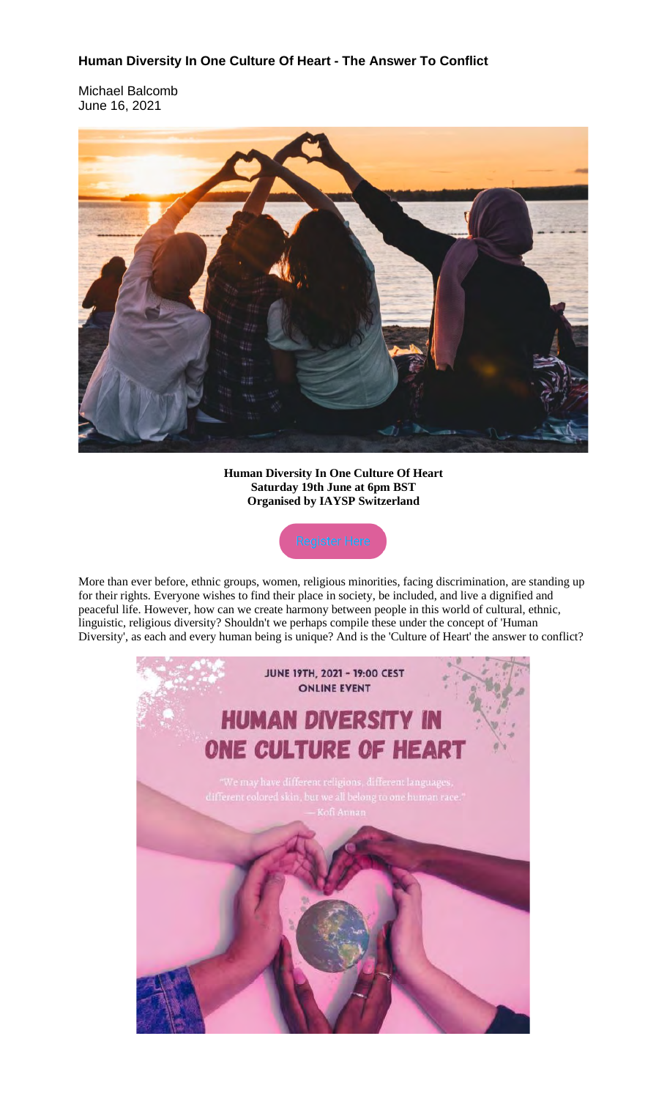## **Human Diversity In One Culture Of Heart - The Answer To Conflict**

Michael Balcomb June 16, 2021



**Human Diversity In One Culture Of Heart Saturday 19th June at 6pm BST Organised by IAYSP Switzerland**



More than ever before, ethnic groups, women, religious minorities, facing discrimination, are standing up for their rights. Everyone wishes to find their place in society, be included, and live a dignified and peaceful life. However, how can we create harmony between people in this world of cultural, ethnic, linguistic, religious diversity? Shouldn't we perhaps compile these under the concept of 'Human Diversity', as each and every human being is unique? And is the 'Culture of Heart' the answer to conflict?

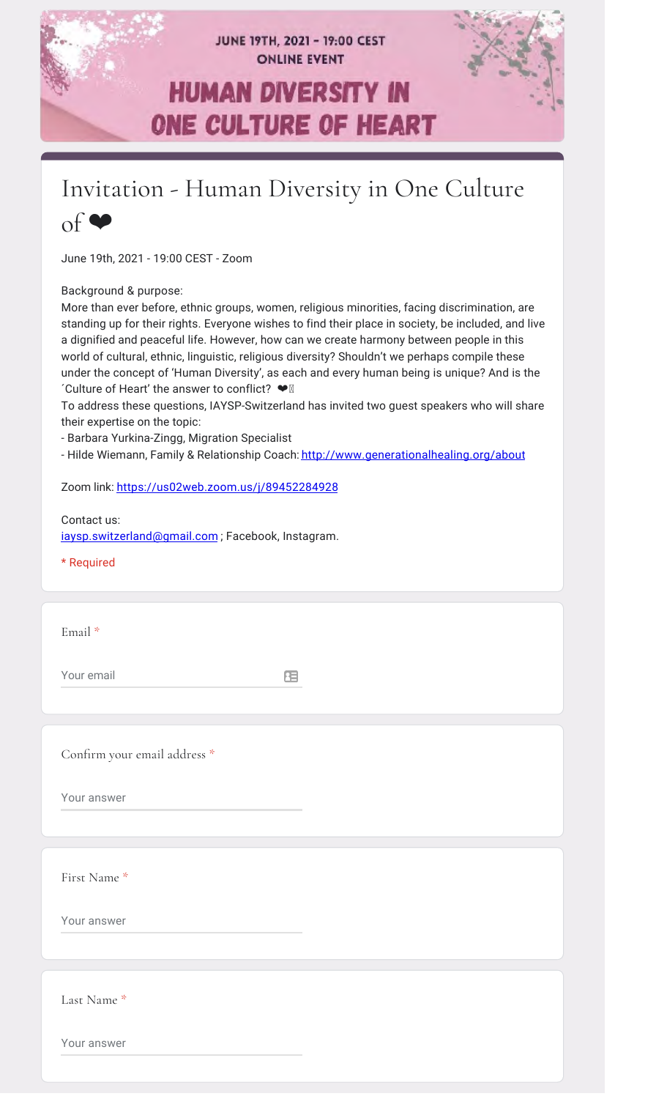

## Invitation - Human Diversity in One Culture



June 19th, 2021 - 19:00 CEST - Zoom

Background & purpose:

More than ever before, ethnic groups, women, religious minorities, facing discrimination, are standing up for their rights. Everyone wishes to find their place in society, be included, and live a dignified and peaceful life. However, how can we create harmony between people in this world of cultural, ethnic, linguistic, religious diversity? Shouldn't we perhaps compile these under the concept of 'Human Diversity', as each and every human being is unique? And is the ´Culture of Heart' the answer to conflict? ❤

To address these questions, IAYSP-Switzerland has invited two guest speakers who will share their expertise on the topic:

- Barbara Yurkina-Zingg, Migration Specialist

- Hilde Wiemann, Family & Relationship Coach: http://www.generationalhealing.org/about

Zoom link: https://us02web.zoom.us/j/89452284928

## Contact us:

iaysp.switzerland@gmail.com; Facebook, Instagram.

## \* Required

Email \*

Your email

日

Confirm your email address \*

Your answer

First Name \*

Your answer

Last Name \*

Your answer